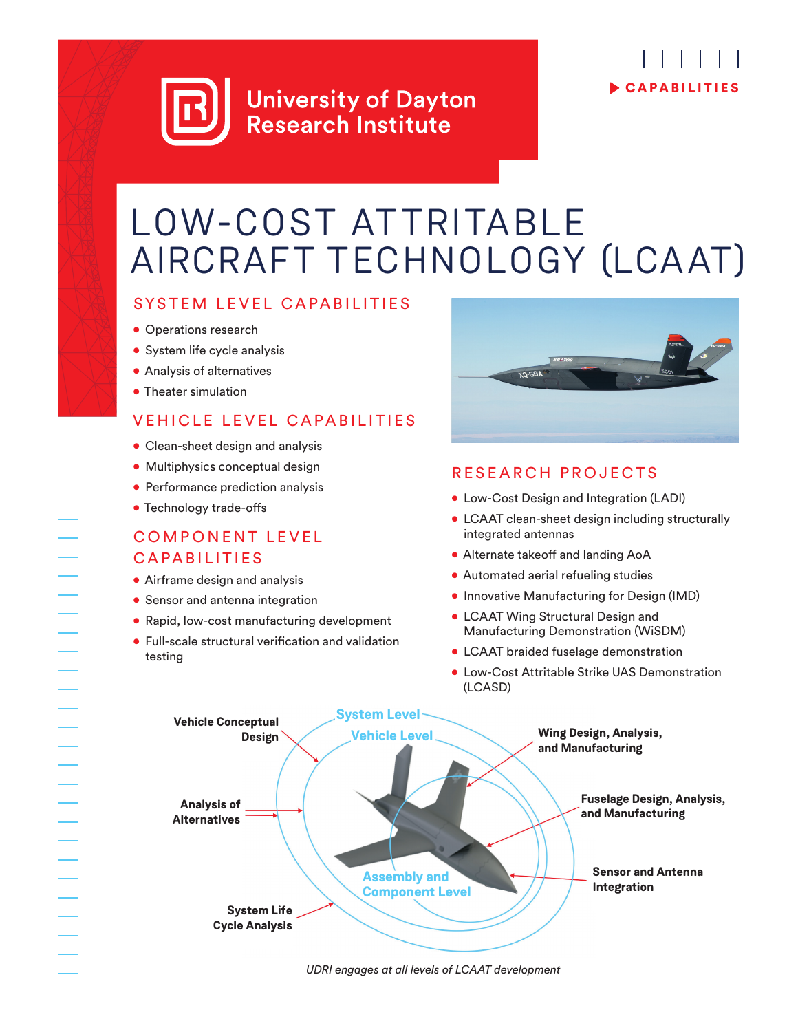## **University of Dayton Research Institute**

# CAPABILITIES

## LOW-COST ATTRITABLE AIRCRAFT TECHNOLOGY (LCAAT)

#### SYSTEM LEVEL CAPABILITIES

- Operations research
- System life cycle analysis
- Analysis of alternatives
- Theater simulation

### VEHICLE LEVEL CAPABILITIES

- Clean-sheet design and analysis
- Multiphysics conceptual design
- Performance prediction analysis
- Technology trade-offs

#### COMPONENT LEVEL CAPABILITIES

- Airframe design and analysis
- Sensor and antenna integration
- Rapid, low-cost manufacturing development
- Full-scale structural verification and validation testing



### RESEARCH PROJECTS

- Low-Cost Design and Integration (LADI)
- LCAAT clean-sheet design including structurally integrated antennas
- Alternate takeoff and landing AoA
- Automated aerial refueling studies
- Innovative Manufacturing for Design (IMD)
- LCAAT Wing Structural Design and Manufacturing Demonstration (WiSDM)
- LCAAT braided fuselage demonstration
- Low-Cost Attritable Strike UAS Demonstration (LCASD)



*UDRI engages at all levels of LCAAT development*